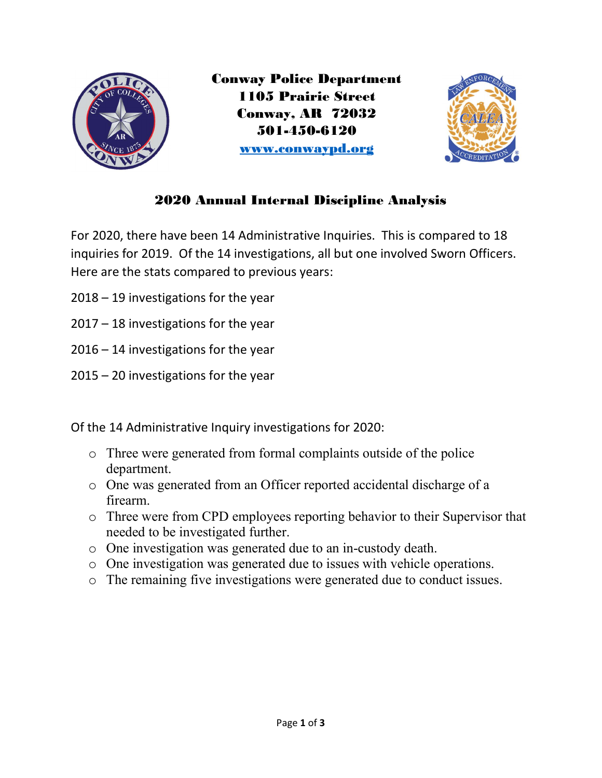

Conway Police Department 1105 Prairie Street Conway, AR 72032 501-450-6120 www.conwaypd.org



## 2020 Annual Internal Discipline Analysis

For 2020, there have been 14 Administrative Inquiries. This is compared to 18 inquiries for 2019. Of the 14 investigations, all but one involved Sworn Officers. Here are the stats compared to previous years:

- 2018 19 investigations for the year
- 2017 18 investigations for the year
- 2016 14 investigations for the year
- 2015 20 investigations for the year

Of the 14 Administrative Inquiry investigations for 2020:

- o Three were generated from formal complaints outside of the police department.
- o One was generated from an Officer reported accidental discharge of a firearm.
- o Three were from CPD employees reporting behavior to their Supervisor that needed to be investigated further.
- o One investigation was generated due to an in-custody death.
- o One investigation was generated due to issues with vehicle operations.
- o The remaining five investigations were generated due to conduct issues.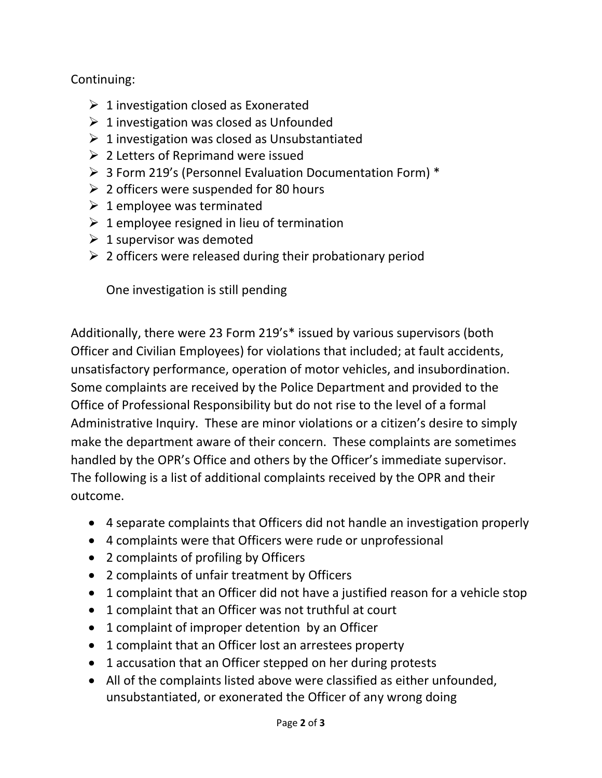## Continuing:

- $\geq 1$  investigation closed as Exonerated
- $\geq 1$  investigation was closed as Unfounded
- $\geq 1$  investigation was closed as Unsubstantiated
- $\geq 2$  Letters of Reprimand were issued
- 3 Form 219's (Personnel Evaluation Documentation Form) \*
- $\geq 2$  officers were suspended for 80 hours
- $\geq 1$  employee was terminated
- $\geq 1$  employee resigned in lieu of termination
- $\geq 1$  supervisor was demoted
- $\geq 2$  officers were released during their probationary period

One investigation is still pending

Additionally, there were 23 Form 219's\* issued by various supervisors (both Officer and Civilian Employees) for violations that included; at fault accidents, unsatisfactory performance, operation of motor vehicles, and insubordination. Some complaints are received by the Police Department and provided to the Office of Professional Responsibility but do not rise to the level of a formal Administrative Inquiry. These are minor violations or a citizen's desire to simply make the department aware of their concern. These complaints are sometimes handled by the OPR's Office and others by the Officer's immediate supervisor. The following is a list of additional complaints received by the OPR and their outcome.

- 4 separate complaints that Officers did not handle an investigation properly
- 4 complaints were that Officers were rude or unprofessional
- 2 complaints of profiling by Officers
- 2 complaints of unfair treatment by Officers
- 1 complaint that an Officer did not have a justified reason for a vehicle stop
- 1 complaint that an Officer was not truthful at court
- 1 complaint of improper detention by an Officer
- 1 complaint that an Officer lost an arrestees property
- 1 accusation that an Officer stepped on her during protests
- All of the complaints listed above were classified as either unfounded, unsubstantiated, or exonerated the Officer of any wrong doing